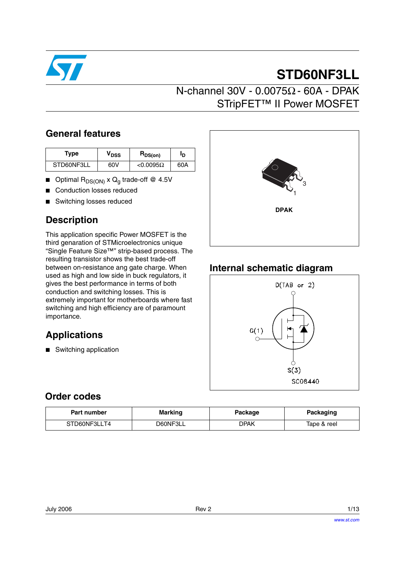

# **STD60NF3LL**

### **General features**

| Type       | $\bm{{\mathsf{v}}}_{\texttt{DSS}}$ | $R_{DS(on)}$        | םי  |
|------------|------------------------------------|---------------------|-----|
| STD60NF3LL | 60V                                | $<$ 0.0095 $\Omega$ | 60A |

- **■** Optimal  $R_{DS(ON)} \times Q_g$  trade-off @ 4.5V
- Conduction losses reduced
- Switching losses reduced

## **Description**

This application specific Power MOSFET is the third genaration of STMicroelectronics unique "Single Feature Size™" strip-based process. The resulting transistor shows the best trade-off between on-resistance ang gate charge. When used as high and low side in buck regulators, it gives the best performance in terms of both conduction and switching losses. This is extremely important for motherboards where fast switching and high efficiency are of paramount importance.

## **Applications**

■ Switching application



### **Internal schematic diagram**



### **Order codes**

| Part number  | <b>Marking</b> | Package | Packaging   |
|--------------|----------------|---------|-------------|
| STD60NF3LLT4 | D60NF3LL       | DPAK    | Tape & reel |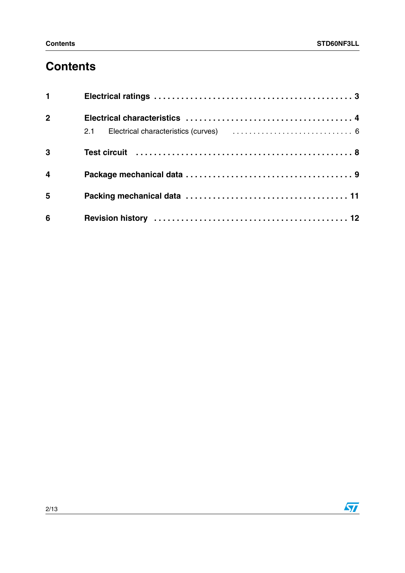# **Contents**

| $1 \quad \blacksquare$  |  |
|-------------------------|--|
| 2 <sup>1</sup>          |  |
|                         |  |
| $\overline{\mathbf{3}}$ |  |
| $\overline{\mathbf{4}}$ |  |
| 5                       |  |
| $6\phantom{1}6$         |  |

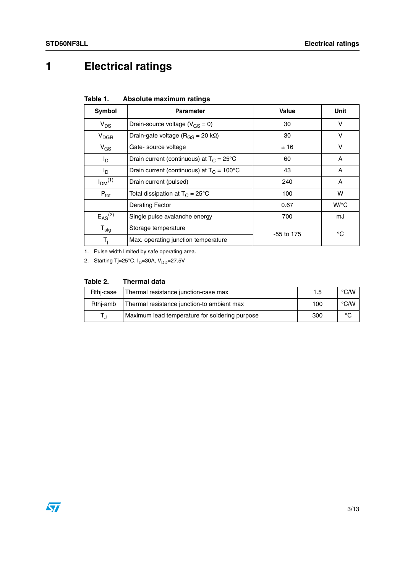# <span id="page-2-0"></span>**1 Electrical ratings**

| Absolute maximum ratings | Table 1. |  |  |  |
|--------------------------|----------|--|--|--|
|--------------------------|----------|--|--|--|

| Symbol                         | <b>Parameter</b>                                    | Value      | Unit               |
|--------------------------------|-----------------------------------------------------|------------|--------------------|
| $V_{DS}$                       | Drain-source voltage ( $V_{GS} = 0$ )               | 30         | v                  |
| $V_{DGR}$                      | Drain-gate voltage ( $R_{GS}$ = 20 k $\Omega$ )     | 30         | v                  |
| $V_{GS}$                       | Gate-source voltage                                 | ±16        | v                  |
| I <sub>D</sub>                 | Drain current (continuous) at $T_C = 25^{\circ}C$   | 60         | A                  |
| $I_{\text{D}}$                 | Drain current (continuous) at $T_c = 100^{\circ}$ C | 43         | A                  |
| I <sub>DM</sub> <sup>(1)</sup> | Drain current (pulsed)                              | 240        | A                  |
| $P_{\text{tot}}$               | Total dissipation at $T_C = 25^{\circ}C$            | 100        | w                  |
|                                | <b>Derating Factor</b>                              | 0.67       | $W$ <sup>o</sup> C |
| $E_{AS}^{(2)}$                 | Single pulse avalanche energy                       | 700        | mJ                 |
| $T_{\text{stg}}$               | Storage temperature                                 | -55 to 175 | °C                 |
| $T_i$                          | Max. operating junction temperature                 |            |                    |

1. Pulse width limited by safe operating area.

2. Starting Tj=25°C,  $I_D$ =30A,  $V_{DD}$ =27.5V

#### **Table 2. Thermal data**

| Rthi-case | Thermal resistance junction-case max           | 1.5 | $\degree$ C/W |
|-----------|------------------------------------------------|-----|---------------|
| Rthi-amb  | Thermal resistance junction-to ambient max     | 100 | $\degree$ C/W |
|           | Maximum lead temperature for soldering purpose | 300 | °C            |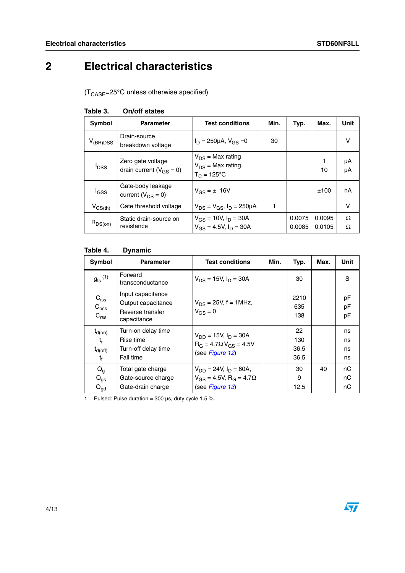# <span id="page-3-0"></span>**2 Electrical characteristics**

 $(T_{\text{CASE}} = 25^{\circ} \text{C}$  unless otherwise specified)

| Symbol                  | <b>Parameter</b>                                    | <b>Test conditions</b>                                                  | Min. | Typ.             | Max.             | Unit     |
|-------------------------|-----------------------------------------------------|-------------------------------------------------------------------------|------|------------------|------------------|----------|
| $V_{(BR)DSS}$           | Drain-source<br>breakdown voltage                   | $I_D = 250 \mu A$ , $V_{GS} = 0$                                        | 30   |                  |                  | $\vee$   |
| <b>I</b> <sub>DSS</sub> | Zero gate voltage<br>drain current ( $V_{GS} = 0$ ) | $V_{DS}$ = Max rating<br>$V_{DS}$ = Max rating,<br>$T_C = 125^{\circ}C$ |      |                  | 10               | μA<br>μA |
| <sup>I</sup> GSS        | Gate-body leakage<br>current ( $V_{DS} = 0$ )       | $V_{GS} = \pm 16V$                                                      |      |                  | ±100             | nA       |
| $V_{GS(th)}$            | Gate threshold voltage                              | $V_{DS} = V_{GS}$ , $I_D = 250 \mu A$                                   |      |                  |                  | v        |
| $R_{DS(on)}$            | Static drain-source on<br>resistance                | $V_{GS}$ = 10V, $I_D$ = 30A<br>$V_{GS} = 4.5V$ , $I_D = 30A$            |      | 0.0075<br>0.0085 | 0.0095<br>0.0105 | Ω<br>Ω   |

#### **Table 3. On/off states**

#### **Table 4. Dynamic**

| Symbol                                                          | <b>Parameter</b>                                                           | <b>Test conditions</b>                                                                               | Min. | Typ.                      | Max. | <b>Unit</b>          |
|-----------------------------------------------------------------|----------------------------------------------------------------------------|------------------------------------------------------------------------------------------------------|------|---------------------------|------|----------------------|
| $g_{\text{fs}}^{(1)}$                                           | Forward<br>transconductance                                                | $V_{DS}$ = 15V, $I_D$ = 30A                                                                          |      | 30                        |      | S                    |
| $C_{\text{iss}}$<br>$C_{\rm oss}$<br>C <sub>rss</sub>           | Input capacitance<br>Output capacitance<br>Reverse transfer<br>capacitance | $V_{DS}$ = 25V, f = 1MHz,<br>$V_{GS} = 0$                                                            |      | 2210<br>635<br>138        |      | рF<br>рF<br>рF       |
| $t_{d(on)}$<br>$t_{r}$<br>$t_{d(\text{off})}$<br>t <sub>f</sub> | Turn-on delay time<br>Rise time<br>Turn-off delay time<br>Fall time        | $V_{DD} = 15V, I_D = 30A$<br>$R_G = 4.7 \Omega V_{GS} = 4.5 V$<br>(see Figure 12)                    |      | 22<br>130<br>36.5<br>36.5 |      | ns<br>ns<br>ns<br>ns |
| $Q_{q}$<br>$Q_{gs}$<br>$Q_{gd}$                                 | Total gate charge<br>Gate-source charge<br>Gate-drain charge               | $V_{DD} = 24V$ , $I_D = 60A$ ,<br>$V_{GS} = 4.5V$ , R <sub>G</sub> = 4.7 $\Omega$<br>(see Figure 13) |      | 30<br>9<br>12.5           | 40   | пC<br>пC<br>nС       |

1. Pulsed: Pulse duration =  $300 \,\mu s$ , duty cycle 1.5 %.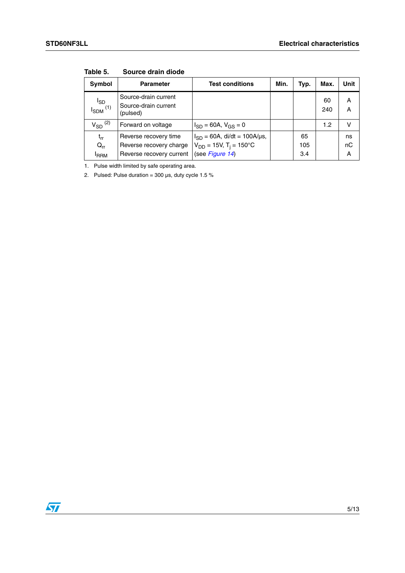| Symbol                             | <b>Parameter</b>                                                             | <b>Test conditions</b>                                                                          | Min. | Typ.             | Max.      | Unit          |
|------------------------------------|------------------------------------------------------------------------------|-------------------------------------------------------------------------------------------------|------|------------------|-----------|---------------|
| $I_{SDM}^{I_{SD}}$                 | Source-drain current<br>Source-drain current<br>(pulsed)                     |                                                                                                 |      |                  | 60<br>240 | A<br>A        |
| $V_{SD}$ <sup>(2)</sup>            | Forward on voltage                                                           | $I_{SD} = 60A$ , $V_{GS} = 0$                                                                   |      |                  | 1.2       | v             |
| $t_{rr}$<br>$Q_{rr}$<br><b>RRM</b> | Reverse recovery time<br>Reverse recovery charge<br>Reverse recovery current | $I_{SD} = 60A$ , di/dt = 100A/µs,<br>$V_{DD} = 15V$ , T <sub>i</sub> = 150°C<br>(see Figure 14) |      | 65<br>105<br>3.4 |           | ns<br>nC<br>Α |

**Table 5. Source drain diode**

1. Pulse width limited by safe operating area.

2. Pulsed: Pulse duration =  $300 \,\mu s$ , duty cycle 1.5 %

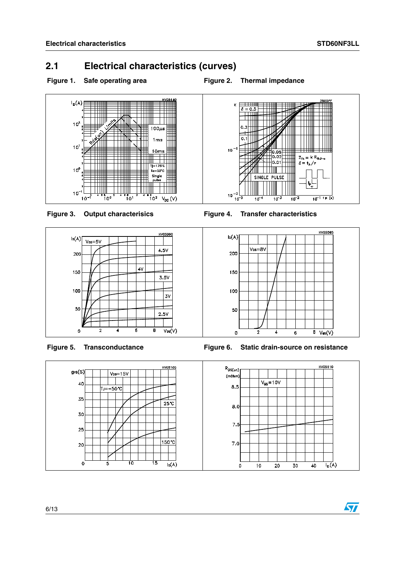### <span id="page-5-0"></span>**2.1 Electrical characteristics (curves)**



















**Figure 5. Transconductance Figure 6. Static drain-source on resistance**



 $\sqrt{27}$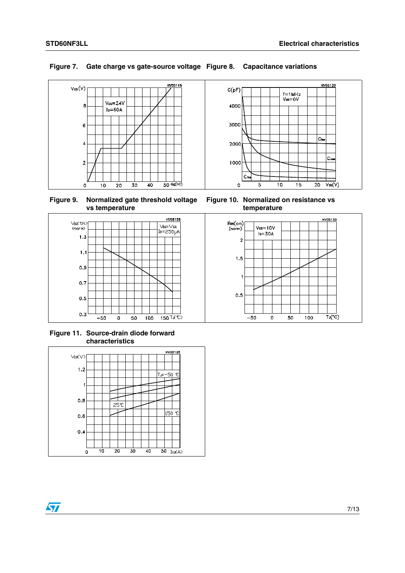### **Figure 7. Gate charge vs gate-source voltage Figure 8. Capacitance variations**



**Figure 9. Normalized gate threshold voltage vs temperature**



**Figure 10. Normalized on resistance vs temperature**



**Figure 11. Source-drain diode forward characteristics**





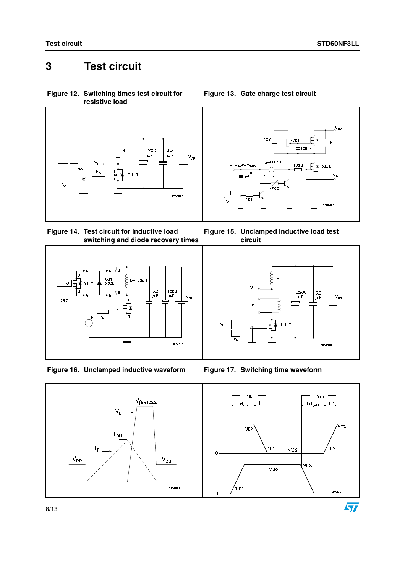# <span id="page-7-0"></span>**3 Test circuit**

<span id="page-7-1"></span>**Figure 12. Switching times test circuit for resistive load**



<span id="page-7-3"></span>**Figure 14. Test circuit for inductive load switching and diode recovery times**



**Figure 16. Unclamped inductive waveform Figure 17. Switching time waveform**



<span id="page-7-2"></span>**Figure 13. Gate charge test circuit**

**Figure 15. Unclamped Inductive load test circuit**



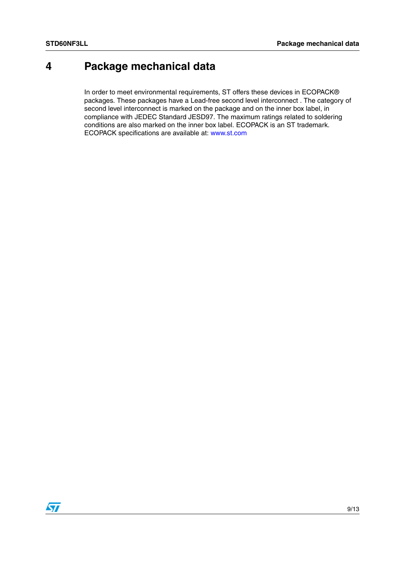# <span id="page-8-0"></span>**4 Package mechanical data**

In order to meet environmental requirements, ST offers these devices in ECOPACK® packages. These packages have a Lead-free second level interconnect . The category of second level interconnect is marked on the package and on the inner box label, in compliance with JEDEC Standard JESD97. The maximum ratings related to soldering conditions are also marked on the inner box label. ECOPACK is an ST trademark. ECOPACK specifications are available at: www.st.com

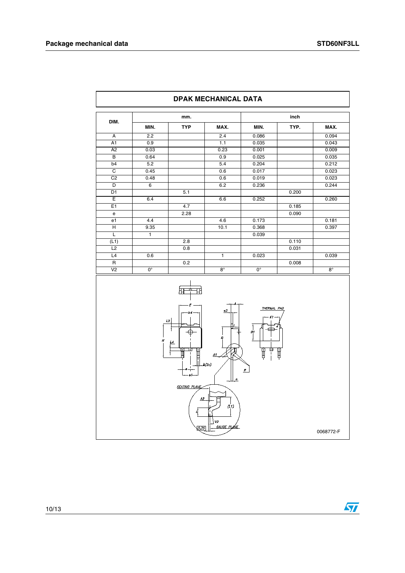$\overline{\phantom{a}}$ 

| DIM.           |              | mm.        |              |       | inch  |       |
|----------------|--------------|------------|--------------|-------|-------|-------|
|                | MIN.         | <b>TYP</b> | MAX.         | MIN.  | TYP.  | MAX.  |
| A              | 2.2          |            | 2.4          | 0.086 |       | 0.094 |
| A1             | 0.9          |            | 1.1          | 0.035 |       | 0.043 |
| A <sub>2</sub> | 0.03         |            | 0.23         | 0.001 |       | 0.009 |
| B              | 0.64         |            | 0.9          | 0.025 |       | 0.035 |
| b <sub>4</sub> | 5.2          |            | 5.4          | 0.204 |       | 0.212 |
| C              | 0.45         |            | 0.6          | 0.017 |       | 0.023 |
| C <sub>2</sub> | 0.48         |            | 0.6          | 0.019 |       | 0.023 |
| D              | 6            |            | 6.2          | 0.236 |       | 0.244 |
| D <sub>1</sub> |              | 5.1        |              |       | 0.200 |       |
| Ε              | 6.4          |            | 6.6          | 0.252 |       | 0.260 |
| E1             |              | 4.7        |              |       | 0.185 |       |
| e              |              | 2.28       |              |       | 0.090 |       |
| e1             | 4.4          |            | 4.6          | 0.173 |       | 0.181 |
| Н              | 9.35         |            | 10.1         | 0.368 |       | 0.397 |
| L              | $\mathbf{1}$ |            |              | 0.039 |       |       |
| (L1)           |              | 2.8        |              |       | 0.110 |       |
| L2             |              | 0.8        |              |       | 0.031 |       |
| L4             | 0.6          |            | $\mathbf{1}$ | 0.023 |       | 0.039 |



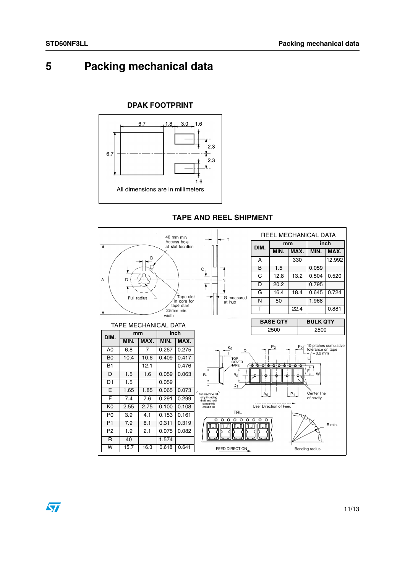# <span id="page-10-0"></span>**5 Packing mechanical data**

### **DPAK FOOTPRINT**





#### **TAPE AND REEL SHIPMENT**

 $\sqrt{2}$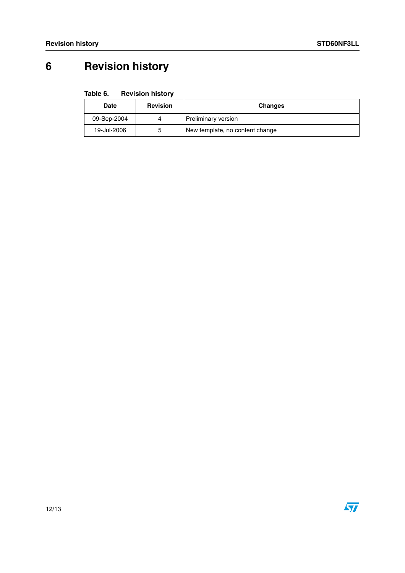# <span id="page-11-0"></span>**6 Revision history**

| Table 6. | <b>Revision history</b> |  |
|----------|-------------------------|--|
|----------|-------------------------|--|

| Date        | <b>Revision</b> | <b>Changes</b>                  |
|-------------|-----------------|---------------------------------|
| 09-Sep-2004 | 4               | Preliminary version             |
| 19-Jul-2006 | ა               | New template, no content change |